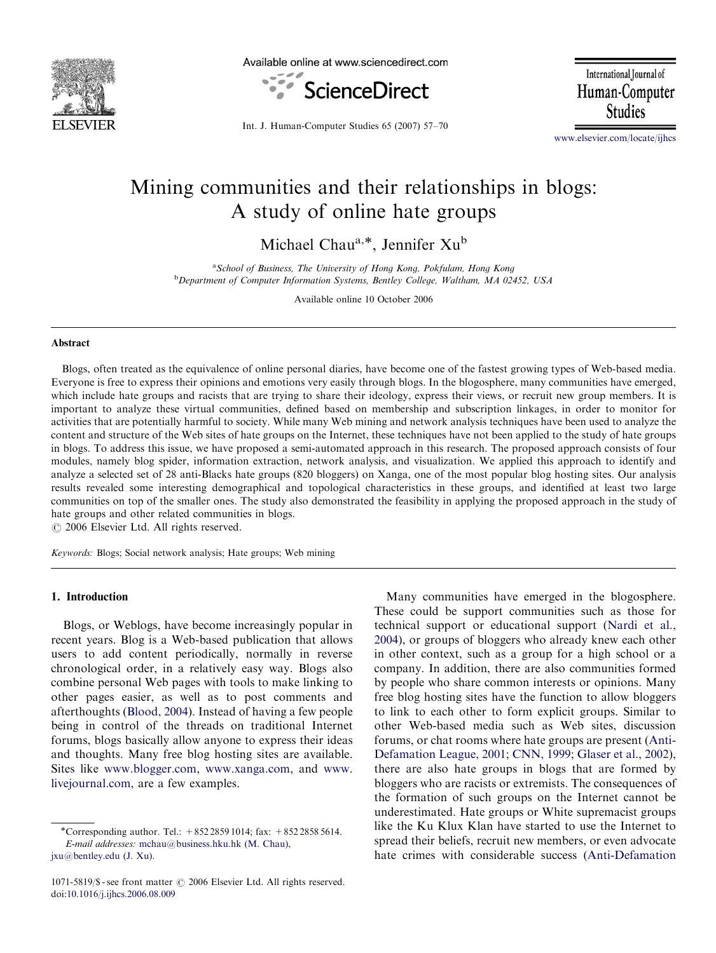

Available online at www.sciencedirect.com



International Journal of Human-Computer **Studies** 

Int. J. Human-Computer Studies 65 (2007) 57–70

[www.elsevier.com/locate/ijhcs](www.elsevier.com/locater/ijhcs)

# Mining communities and their relationships in blogs: A study of online hate groups

Michael Chau<sup>a,\*</sup>, Jennifer Xu<sup>b</sup>

<sup>a</sup> School of Business, The University of Hong Kong, Pokfulam, Hong Kong <sup>b</sup>Department of Computer Information Systems, Bentley College, Waltham, MA 02452, USA

Available online 10 October 2006

#### Abstract

Blogs, often treated as the equivalence of online personal diaries, have become one of the fastest growing types of Web-based media. Everyone is free to express their opinions and emotions very easily through blogs. In the blogosphere, many communities have emerged, which include hate groups and racists that are trying to share their ideology, express their views, or recruit new group members. It is important to analyze these virtual communities, defined based on membership and subscription linkages, in order to monitor for activities that are potentially harmful to society. While many Web mining and network analysis techniques have been used to analyze the content and structure of the Web sites of hate groups on the Internet, these techniques have not been applied to the study of hate groups in blogs. To address this issue, we have proposed a semi-automated approach in this research. The proposed approach consists of four modules, namely blog spider, information extraction, network analysis, and visualization. We applied this approach to identify and analyze a selected set of 28 anti-Blacks hate groups (820 bloggers) on Xanga, one of the most popular blog hosting sites. Our analysis results revealed some interesting demographical and topological characteristics in these groups, and identified at least two large communities on top of the smaller ones. The study also demonstrated the feasibility in applying the proposed approach in the study of hate groups and other related communities in blogs.

 $C$  2006 Elsevier Ltd. All rights reserved.

Keywords: Blogs; Social network analysis; Hate groups; Web mining

#### 1. Introduction

Blogs, or Weblogs, have become increasingly popular in recent years. Blog is a Web-based publication that allows users to add content periodically, normally in reverse chronological order, in a relatively easy way. Blogs also combine personal Web pages with tools to make linking to other pages easier, as well as to post comments and afterthoughts ([Blood, 2004\)](#page-12-0). Instead of having a few people being in control of the threads on traditional Internet forums, blogs basically allow anyone to express their ideas and thoughts. Many free blog hosting sites are available. Sites like [www.blogger.com,](http://www.blogger.com) [www.xanga.com](http://www.xanga.com), and [www.](http://www.livejournal.com) [livejournal.com,](http://www.livejournal.com) are a few examples.

Many communities have emerged in the blogosphere. These could be support communities such as those for technical support or educational support [\(Nardi et al.,](#page-13-0) [2004](#page-13-0)), or groups of bloggers who already knew each other in other context, such as a group for a high school or a company. In addition, there are also communities formed by people who share common interests or opinions. Many free blog hosting sites have the function to allow bloggers to link to each other to form explicit groups. Similar to other Web-based media such as Web sites, discussion forums, or chat rooms where hate groups are present ([Anti-](#page-12-0)[Defamation League, 2001](#page-12-0); [CNN, 1999](#page-12-0); [Glaser et al., 2002\)](#page-13-0), there are also hate groups in blogs that are formed by bloggers who are racists or extremists. The consequences of the formation of such groups on the Internet cannot be underestimated. Hate groups or White supremacist groups like the Ku Klux Klan have started to use the Internet to spread their beliefs, recruit new members, or even advocate hate crimes with considerable success ([Anti-Defamation](#page-12-0)

<sup>-</sup>Corresponding author. Tel.: +852 2859 1014; fax: +852 2858 5614. E-mail addresses: [mchau@business.hku.hk \(M. Chau\),](mailto:jxu@bentley.edu) [jxu@bentley.edu \(J. Xu\).](mailto:jxu@bentley.edu)

<sup>1071-5819/\$ -</sup> see front matter  $\odot$  2006 Elsevier Ltd. All rights reserved. doi:[10.1016/j.ijhcs.2006.08.009](dx.doi.org/10.1016/j.ijhcs.2006.08.009)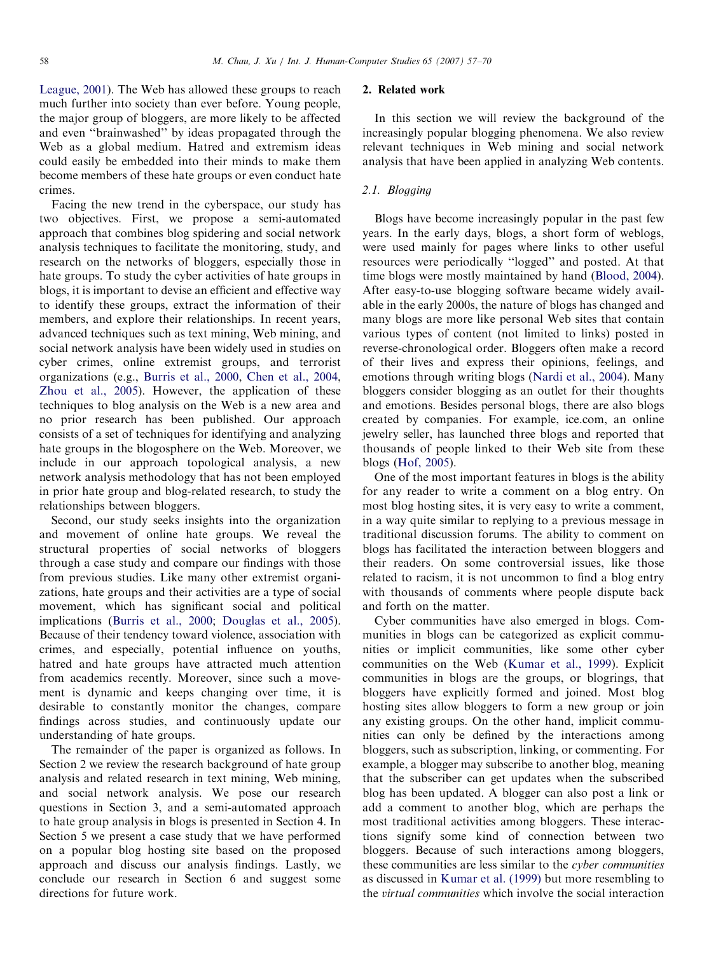[League, 2001](#page-12-0)). The Web has allowed these groups to reach much further into society than ever before. Young people, the major group of bloggers, are more likely to be affected and even ''brainwashed'' by ideas propagated through the Web as a global medium. Hatred and extremism ideas could easily be embedded into their minds to make them become members of these hate groups or even conduct hate crimes.

Facing the new trend in the cyberspace, our study has two objectives. First, we propose a semi-automated approach that combines blog spidering and social network analysis techniques to facilitate the monitoring, study, and research on the networks of bloggers, especially those in hate groups. To study the cyber activities of hate groups in blogs, it is important to devise an efficient and effective way to identify these groups, extract the information of their members, and explore their relationships. In recent years, advanced techniques such as text mining, Web mining, and social network analysis have been widely used in studies on cyber crimes, online extremist groups, and terrorist organizations (e.g., [Burris et al., 2000,](#page-12-0) [Chen et al., 2004](#page-12-0), [Zhou et al., 2005\)](#page-13-0). However, the application of these techniques to blog analysis on the Web is a new area and no prior research has been published. Our approach consists of a set of techniques for identifying and analyzing hate groups in the blogosphere on the Web. Moreover, we include in our approach topological analysis, a new network analysis methodology that has not been employed in prior hate group and blog-related research, to study the relationships between bloggers.

Second, our study seeks insights into the organization and movement of online hate groups. We reveal the structural properties of social networks of bloggers through a case study and compare our findings with those from previous studies. Like many other extremist organizations, hate groups and their activities are a type of social movement, which has significant social and political implications ([Burris et al., 2000;](#page-12-0) [Douglas et al., 2005\)](#page-12-0). Because of their tendency toward violence, association with crimes, and especially, potential influence on youths, hatred and hate groups have attracted much attention from academics recently. Moreover, since such a movement is dynamic and keeps changing over time, it is desirable to constantly monitor the changes, compare findings across studies, and continuously update our understanding of hate groups.

The remainder of the paper is organized as follows. In Section 2 we review the research background of hate group analysis and related research in text mining, Web mining, and social network analysis. We pose our research questions in Section 3, and a semi-automated approach to hate group analysis in blogs is presented in Section 4. In Section 5 we present a case study that we have performed on a popular blog hosting site based on the proposed approach and discuss our analysis findings. Lastly, we conclude our research in Section 6 and suggest some directions for future work.

## 2. Related work

In this section we will review the background of the increasingly popular blogging phenomena. We also review relevant techniques in Web mining and social network analysis that have been applied in analyzing Web contents.

# 2.1. Blogging

Blogs have become increasingly popular in the past few years. In the early days, blogs, a short form of weblogs, were used mainly for pages where links to other useful resources were periodically ''logged'' and posted. At that time blogs were mostly maintained by hand [\(Blood, 2004\)](#page-12-0). After easy-to-use blogging software became widely available in the early 2000s, the nature of blogs has changed and many blogs are more like personal Web sites that contain various types of content (not limited to links) posted in reverse-chronological order. Bloggers often make a record of their lives and express their opinions, feelings, and emotions through writing blogs [\(Nardi et al., 2004](#page-13-0)). Many bloggers consider blogging as an outlet for their thoughts and emotions. Besides personal blogs, there are also blogs created by companies. For example, ice.com, an online jewelry seller, has launched three blogs and reported that thousands of people linked to their Web site from these blogs ([Hof, 2005\)](#page-13-0).

One of the most important features in blogs is the ability for any reader to write a comment on a blog entry. On most blog hosting sites, it is very easy to write a comment, in a way quite similar to replying to a previous message in traditional discussion forums. The ability to comment on blogs has facilitated the interaction between bloggers and their readers. On some controversial issues, like those related to racism, it is not uncommon to find a blog entry with thousands of comments where people dispute back and forth on the matter.

Cyber communities have also emerged in blogs. Communities in blogs can be categorized as explicit communities or implicit communities, like some other cyber communities on the Web ([Kumar et al., 1999\)](#page-13-0). Explicit communities in blogs are the groups, or blogrings, that bloggers have explicitly formed and joined. Most blog hosting sites allow bloggers to form a new group or join any existing groups. On the other hand, implicit communities can only be defined by the interactions among bloggers, such as subscription, linking, or commenting. For example, a blogger may subscribe to another blog, meaning that the subscriber can get updates when the subscribed blog has been updated. A blogger can also post a link or add a comment to another blog, which are perhaps the most traditional activities among bloggers. These interactions signify some kind of connection between two bloggers. Because of such interactions among bloggers, these communities are less similar to the cyber communities as discussed in [Kumar et al. \(1999\)](#page-13-0) but more resembling to the virtual communities which involve the social interaction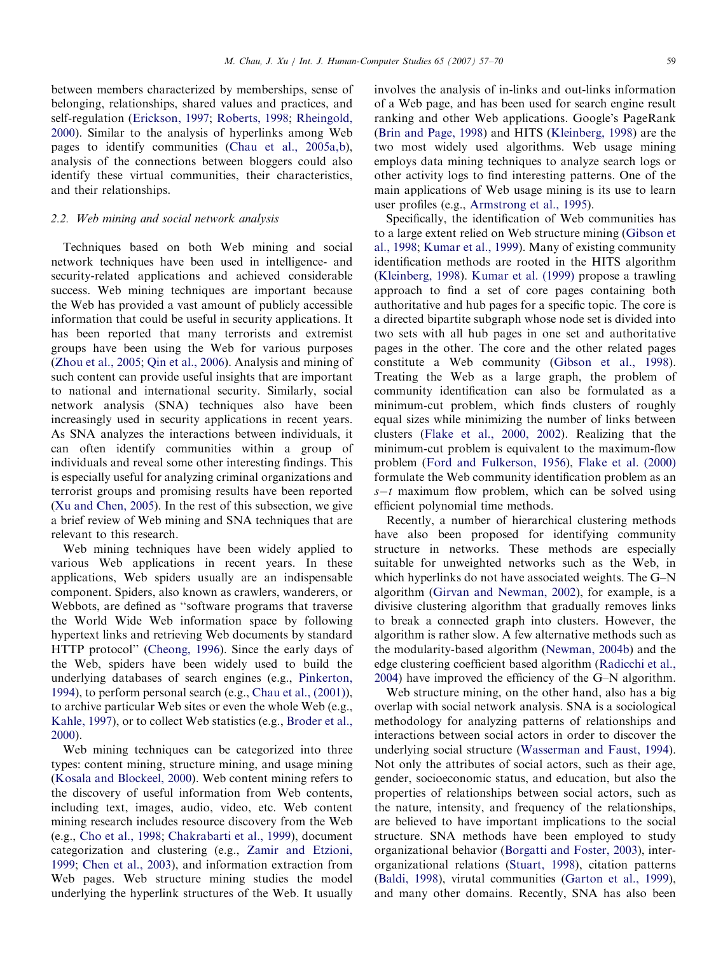between members characterized by memberships, sense of belonging, relationships, shared values and practices, and self-regulation [\(Erickson, 1997](#page-12-0); [Roberts, 1998](#page-13-0); [Rheingold,](#page-13-0) [2000](#page-13-0)). Similar to the analysis of hyperlinks among Web pages to identify communities ([Chau et al., 2005a,b\)](#page-12-0), analysis of the connections between bloggers could also identify these virtual communities, their characteristics, and their relationships.

## 2.2. Web mining and social network analysis

Techniques based on both Web mining and social network techniques have been used in intelligence- and security-related applications and achieved considerable success. Web mining techniques are important because the Web has provided a vast amount of publicly accessible information that could be useful in security applications. It has been reported that many terrorists and extremist groups have been using the Web for various purposes ([Zhou et al., 2005](#page-13-0); [Qin et al., 2006\)](#page-13-0). Analysis and mining of such content can provide useful insights that are important to national and international security. Similarly, social network analysis (SNA) techniques also have been increasingly used in security applications in recent years. As SNA analyzes the interactions between individuals, it can often identify communities within a group of individuals and reveal some other interesting findings. This is especially useful for analyzing criminal organizations and terrorist groups and promising results have been reported ([Xu and Chen, 2005](#page-13-0)). In the rest of this subsection, we give a brief review of Web mining and SNA techniques that are relevant to this research.

Web mining techniques have been widely applied to various Web applications in recent years. In these applications, Web spiders usually are an indispensable component. Spiders, also known as crawlers, wanderers, or Webbots, are defined as ''software programs that traverse the World Wide Web information space by following hypertext links and retrieving Web documents by standard HTTP protocol'' [\(Cheong, 1996\)](#page-12-0). Since the early days of the Web, spiders have been widely used to build the underlying databases of search engines (e.g., [Pinkerton,](#page-13-0) [1994](#page-13-0)), to perform personal search (e.g., [Chau et al., \(2001\)\)](#page-12-0), to archive particular Web sites or even the whole Web (e.g., [Kahle, 1997](#page-13-0)), or to collect Web statistics (e.g., [Broder et al.,](#page-12-0) [2000](#page-12-0)).

Web mining techniques can be categorized into three types: content mining, structure mining, and usage mining ([Kosala and Blockeel, 2000\)](#page-13-0). Web content mining refers to the discovery of useful information from Web contents, including text, images, audio, video, etc. Web content mining research includes resource discovery from the Web (e.g., [Cho et al., 1998](#page-12-0); [Chakrabarti et al., 1999](#page-12-0)), document categorization and clustering (e.g., [Zamir and Etzioni,](#page-13-0) [1999](#page-13-0); [Chen et al., 2003\)](#page-12-0), and information extraction from Web pages. Web structure mining studies the model underlying the hyperlink structures of the Web. It usually involves the analysis of in-links and out-links information of a Web page, and has been used for search engine result ranking and other Web applications. Google's PageRank ([Brin and Page, 1998](#page-12-0)) and HITS [\(Kleinberg, 1998\)](#page-13-0) are the two most widely used algorithms. Web usage mining employs data mining techniques to analyze search logs or other activity logs to find interesting patterns. One of the main applications of Web usage mining is its use to learn user profiles (e.g., [Armstrong et al., 1995\)](#page-12-0).

Specifically, the identification of Web communities has to a large extent relied on Web structure mining ([Gibson et](#page-13-0) [al., 1998](#page-13-0); [Kumar et al., 1999](#page-13-0)). Many of existing community identification methods are rooted in the HITS algorithm ([Kleinberg, 1998](#page-13-0)). [Kumar et al. \(1999\)](#page-13-0) propose a trawling approach to find a set of core pages containing both authoritative and hub pages for a specific topic. The core is a directed bipartite subgraph whose node set is divided into two sets with all hub pages in one set and authoritative pages in the other. The core and the other related pages constitute a Web community ([Gibson et al., 1998\)](#page-13-0). Treating the Web as a large graph, the problem of community identification can also be formulated as a minimum-cut problem, which finds clusters of roughly equal sizes while minimizing the number of links between clusters [\(Flake et al., 2000, 2002\)](#page-12-0). Realizing that the minimum-cut problem is equivalent to the maximum-flow problem ([Ford and Fulkerson, 1956\)](#page-12-0), [Flake et al. \(2000\)](#page-12-0) formulate the Web community identification problem as an  $s-t$  maximum flow problem, which can be solved using efficient polynomial time methods.

Recently, a number of hierarchical clustering methods have also been proposed for identifying community structure in networks. These methods are especially suitable for unweighted networks such as the Web, in which hyperlinks do not have associated weights. The G–N algorithm [\(Girvan and Newman, 2002](#page-13-0)), for example, is a divisive clustering algorithm that gradually removes links to break a connected graph into clusters. However, the algorithm is rather slow. A few alternative methods such as the modularity-based algorithm [\(Newman, 2004b\)](#page-13-0) and the edge clustering coefficient based algorithm [\(Radicchi et al.,](#page-13-0) [2004](#page-13-0)) have improved the efficiency of the G–N algorithm.

Web structure mining, on the other hand, also has a big overlap with social network analysis. SNA is a sociological methodology for analyzing patterns of relationships and interactions between social actors in order to discover the underlying social structure [\(Wasserman and Faust, 1994\)](#page-13-0). Not only the attributes of social actors, such as their age, gender, socioeconomic status, and education, but also the properties of relationships between social actors, such as the nature, intensity, and frequency of the relationships, are believed to have important implications to the social structure. SNA methods have been employed to study organizational behavior ([Borgatti and Foster, 2003](#page-12-0)), interorganizational relations [\(Stuart, 1998\)](#page-13-0), citation patterns ([Baldi, 1998\)](#page-12-0), virutal communities [\(Garton et al., 1999\)](#page-12-0), and many other domains. Recently, SNA has also been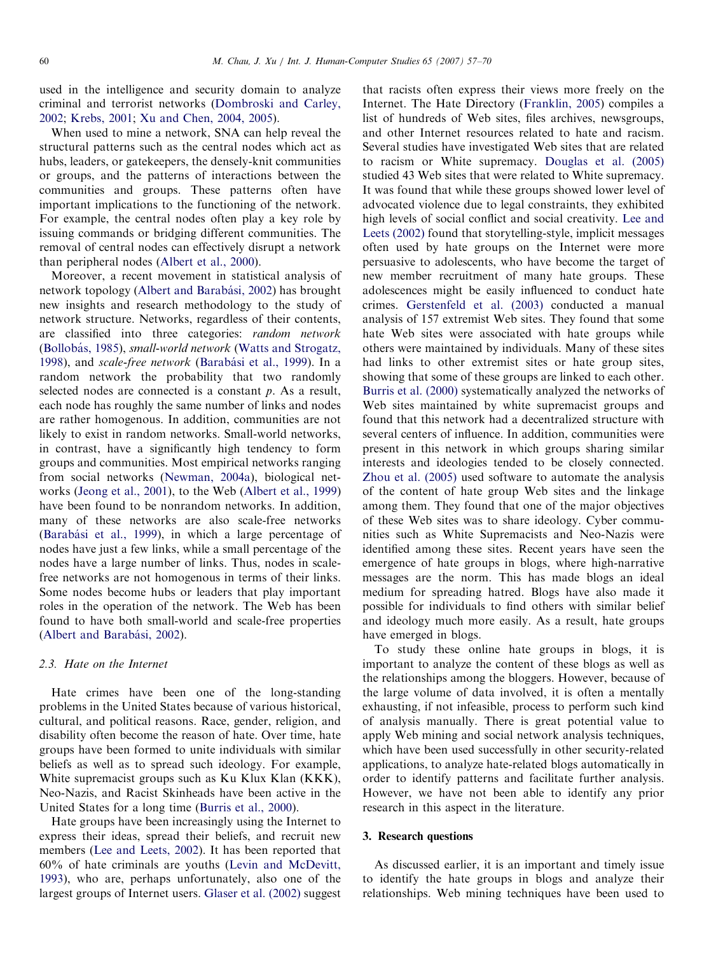used in the intelligence and security domain to analyze criminal and terrorist networks [\(Dombroski and Carley,](#page-12-0) [2002;](#page-12-0) [Krebs, 2001](#page-13-0); [Xu and Chen, 2004, 2005\)](#page-13-0).

When used to mine a network, SNA can help reveal the structural patterns such as the central nodes which act as hubs, leaders, or gatekeepers, the densely-knit communities or groups, and the patterns of interactions between the communities and groups. These patterns often have important implications to the functioning of the network. For example, the central nodes often play a key role by issuing commands or bridging different communities. The removal of central nodes can effectively disrupt a network than peripheral nodes [\(Albert et al., 2000\)](#page-12-0).

Moreover, a recent movement in statistical analysis of network topology (Albert and Barabási, 2002) has brought new insights and research methodology to the study of network structure. Networks, regardless of their contents, are classified into three categories: random network (Bollobás, 1985), *small-world network* [\(Watts and Strogatz,](#page-13-0) [1998\)](#page-13-0), and scale-free network (Barabási et al., 1999). In a random network the probability that two randomly selected nodes are connected is a constant  $p$ . As a result, each node has roughly the same number of links and nodes are rather homogenous. In addition, communities are not likely to exist in random networks. Small-world networks, in contrast, have a significantly high tendency to form groups and communities. Most empirical networks ranging from social networks ([Newman, 2004a](#page-13-0)), biological networks ([Jeong et al., 2001\)](#page-13-0), to the Web [\(Albert et al., 1999](#page-12-0)) have been found to be nonrandom networks. In addition, many of these networks are also scale-free networks (Barabási et al., 1999), in which a large percentage of nodes have just a few links, while a small percentage of the nodes have a large number of links. Thus, nodes in scalefree networks are not homogenous in terms of their links. Some nodes become hubs or leaders that play important roles in the operation of the network. The Web has been found to have both small-world and scale-free properties (Albert and Barabási, 2002).

## 2.3. Hate on the Internet

Hate crimes have been one of the long-standing problems in the United States because of various historical, cultural, and political reasons. Race, gender, religion, and disability often become the reason of hate. Over time, hate groups have been formed to unite individuals with similar beliefs as well as to spread such ideology. For example, White supremacist groups such as Ku Klux Klan (KKK), Neo-Nazis, and Racist Skinheads have been active in the United States for a long time ([Burris et al., 2000](#page-12-0)).

Hate groups have been increasingly using the Internet to express their ideas, spread their beliefs, and recruit new members ([Lee and Leets, 2002](#page-13-0)). It has been reported that 60% of hate criminals are youths ([Levin and McDevitt,](#page-13-0) [1993\)](#page-13-0), who are, perhaps unfortunately, also one of the largest groups of Internet users. [Glaser et al. \(2002\)](#page-13-0) suggest that racists often express their views more freely on the Internet. The Hate Directory ([Franklin, 2005\)](#page-12-0) compiles a list of hundreds of Web sites, files archives, newsgroups, and other Internet resources related to hate and racism. Several studies have investigated Web sites that are related to racism or White supremacy. [Douglas et al. \(2005\)](#page-12-0) studied 43 Web sites that were related to White supremacy. It was found that while these groups showed lower level of advocated violence due to legal constraints, they exhibited high levels of social conflict and social creativity. [Lee and](#page-13-0) [Leets \(2002\)](#page-13-0) found that storytelling-style, implicit messages often used by hate groups on the Internet were more persuasive to adolescents, who have become the target of new member recruitment of many hate groups. These adolescences might be easily influenced to conduct hate crimes. [Gerstenfeld et al. \(2003\)](#page-13-0) conducted a manual analysis of 157 extremist Web sites. They found that some hate Web sites were associated with hate groups while others were maintained by individuals. Many of these sites had links to other extremist sites or hate group sites, showing that some of these groups are linked to each other. [Burris et al. \(2000\)](#page-12-0) systematically analyzed the networks of Web sites maintained by white supremacist groups and found that this network had a decentralized structure with several centers of influence. In addition, communities were present in this network in which groups sharing similar interests and ideologies tended to be closely connected. [Zhou et al. \(2005\)](#page-13-0) used software to automate the analysis of the content of hate group Web sites and the linkage among them. They found that one of the major objectives of these Web sites was to share ideology. Cyber communities such as White Supremacists and Neo-Nazis were identified among these sites. Recent years have seen the emergence of hate groups in blogs, where high-narrative messages are the norm. This has made blogs an ideal medium for spreading hatred. Blogs have also made it possible for individuals to find others with similar belief and ideology much more easily. As a result, hate groups have emerged in blogs.

To study these online hate groups in blogs, it is important to analyze the content of these blogs as well as the relationships among the bloggers. However, because of the large volume of data involved, it is often a mentally exhausting, if not infeasible, process to perform such kind of analysis manually. There is great potential value to apply Web mining and social network analysis techniques, which have been used successfully in other security-related applications, to analyze hate-related blogs automatically in order to identify patterns and facilitate further analysis. However, we have not been able to identify any prior research in this aspect in the literature.

### 3. Research questions

As discussed earlier, it is an important and timely issue to identify the hate groups in blogs and analyze their relationships. Web mining techniques have been used to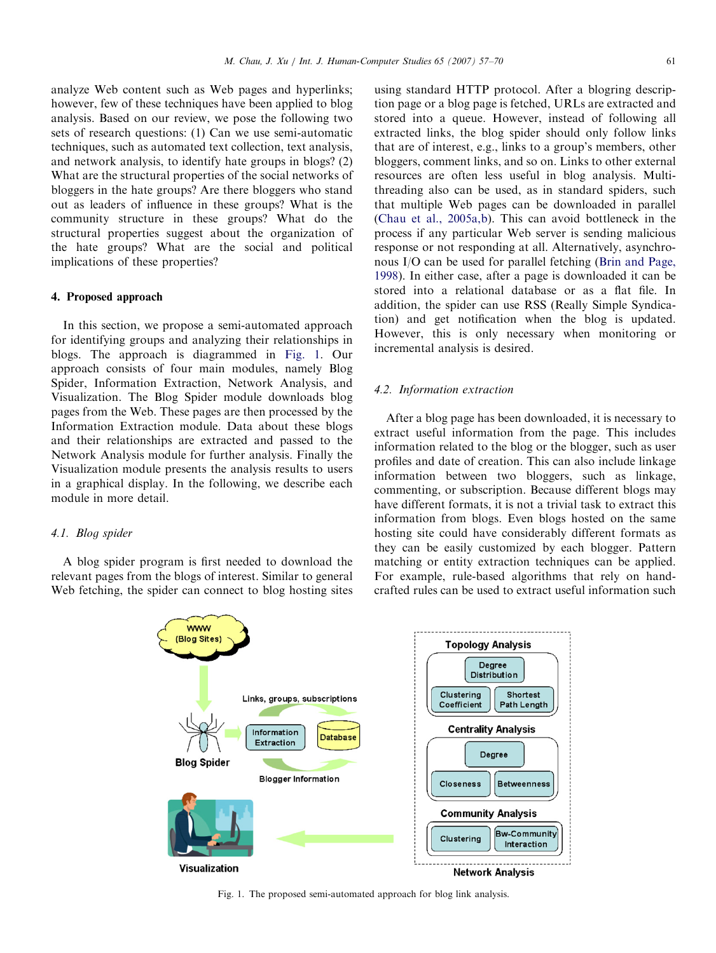analyze Web content such as Web pages and hyperlinks; however, few of these techniques have been applied to blog analysis. Based on our review, we pose the following two sets of research questions: (1) Can we use semi-automatic techniques, such as automated text collection, text analysis, and network analysis, to identify hate groups in blogs? (2) What are the structural properties of the social networks of bloggers in the hate groups? Are there bloggers who stand out as leaders of influence in these groups? What is the community structure in these groups? What do the structural properties suggest about the organization of the hate groups? What are the social and political implications of these properties?

#### 4. Proposed approach

In this section, we propose a semi-automated approach for identifying groups and analyzing their relationships in blogs. The approach is diagrammed in Fig. 1. Our approach consists of four main modules, namely Blog Spider, Information Extraction, Network Analysis, and Visualization. The Blog Spider module downloads blog pages from the Web. These pages are then processed by the Information Extraction module. Data about these blogs and their relationships are extracted and passed to the Network Analysis module for further analysis. Finally the Visualization module presents the analysis results to users in a graphical display. In the following, we describe each module in more detail.

# 4.1. Blog spider

A blog spider program is first needed to download the relevant pages from the blogs of interest. Similar to general Web fetching, the spider can connect to blog hosting sites using standard HTTP protocol. After a blogring description page or a blog page is fetched, URLs are extracted and stored into a queue. However, instead of following all extracted links, the blog spider should only follow links that are of interest, e.g., links to a group's members, other bloggers, comment links, and so on. Links to other external resources are often less useful in blog analysis. Multithreading also can be used, as in standard spiders, such that multiple Web pages can be downloaded in parallel ([Chau et al., 2005a,b\)](#page-12-0). This can avoid bottleneck in the process if any particular Web server is sending malicious response or not responding at all. Alternatively, asynchronous I/O can be used for parallel fetching [\(Brin and Page,](#page-12-0) [1998](#page-12-0)). In either case, after a page is downloaded it can be stored into a relational database or as a flat file. In addition, the spider can use RSS (Really Simple Syndication) and get notification when the blog is updated. However, this is only necessary when monitoring or incremental analysis is desired.

# 4.2. Information extraction

After a blog page has been downloaded, it is necessary to extract useful information from the page. This includes information related to the blog or the blogger, such as user profiles and date of creation. This can also include linkage information between two bloggers, such as linkage, commenting, or subscription. Because different blogs may have different formats, it is not a trivial task to extract this information from blogs. Even blogs hosted on the same hosting site could have considerably different formats as they can be easily customized by each blogger. Pattern matching or entity extraction techniques can be applied. For example, rule-based algorithms that rely on handcrafted rules can be used to extract useful information such



Fig. 1. The proposed semi-automated approach for blog link analysis.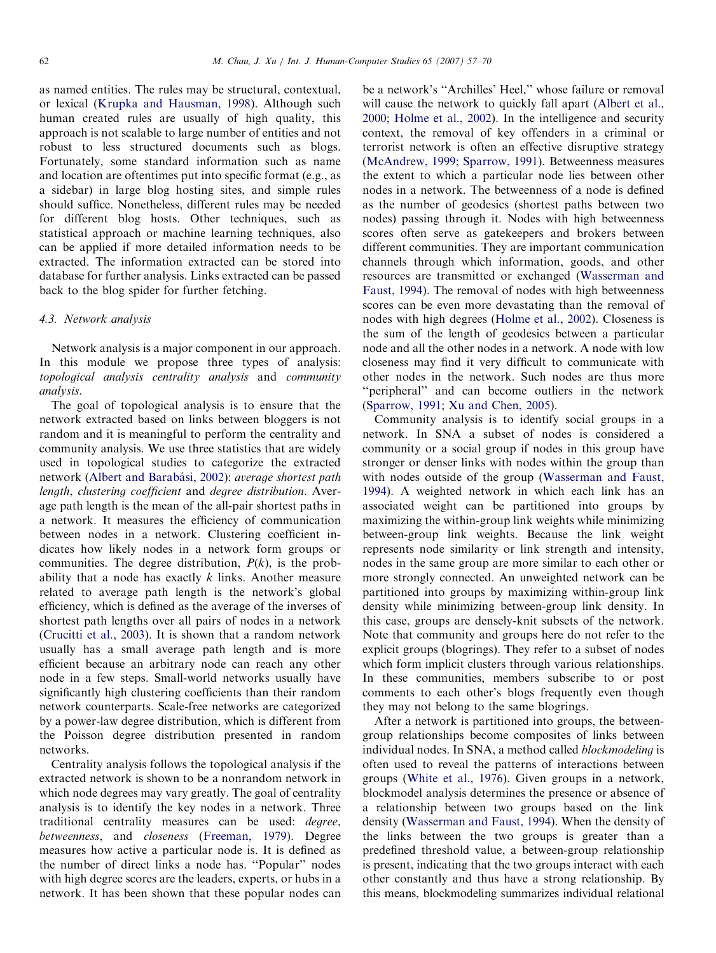as named entities. The rules may be structural, contextual, or lexical [\(Krupka and Hausman, 1998\)](#page-13-0). Although such human created rules are usually of high quality, this approach is not scalable to large number of entities and not robust to less structured documents such as blogs. Fortunately, some standard information such as name and location are oftentimes put into specific format (e.g., as a sidebar) in large blog hosting sites, and simple rules should suffice. Nonetheless, different rules may be needed for different blog hosts. Other techniques, such as statistical approach or machine learning techniques, also can be applied if more detailed information needs to be extracted. The information extracted can be stored into database for further analysis. Links extracted can be passed back to the blog spider for further fetching.

### 4.3. Network analysis

Network analysis is a major component in our approach. In this module we propose three types of analysis: topological analysis centrality analysis and community analysis.

The goal of topological analysis is to ensure that the network extracted based on links between bloggers is not random and it is meaningful to perform the centrality and community analysis. We use three statistics that are widely used in topological studies to categorize the extracted network (Albert and Barabási, 2002): average shortest path length, clustering coefficient and degree distribution. Average path length is the mean of the all-pair shortest paths in a network. It measures the efficiency of communication between nodes in a network. Clustering coefficient indicates how likely nodes in a network form groups or communities. The degree distribution,  $P(k)$ , is the probability that a node has exactly k links. Another measure related to average path length is the network's global efficiency, which is defined as the average of the inverses of shortest path lengths over all pairs of nodes in a network [\(Crucitti et al., 2003](#page-12-0)). It is shown that a random network usually has a small average path length and is more efficient because an arbitrary node can reach any other node in a few steps. Small-world networks usually have significantly high clustering coefficients than their random network counterparts. Scale-free networks are categorized by a power-law degree distribution, which is different from the Poisson degree distribution presented in random networks.

Centrality analysis follows the topological analysis if the extracted network is shown to be a nonrandom network in which node degrees may vary greatly. The goal of centrality analysis is to identify the key nodes in a network. Three traditional centrality measures can be used: degree, betweenness, and *closeness* [\(Freeman, 1979\)](#page-12-0). Degree measures how active a particular node is. It is defined as the number of direct links a node has. ''Popular'' nodes with high degree scores are the leaders, experts, or hubs in a network. It has been shown that these popular nodes can be a network's ''Archilles' Heel,'' whose failure or removal will cause the network to quickly fall apart [\(Albert et al.,](#page-12-0) [2000;](#page-12-0) [Holme et al., 2002\)](#page-13-0). In the intelligence and security context, the removal of key offenders in a criminal or terrorist network is often an effective disruptive strategy [\(McAndrew, 1999](#page-13-0); [Sparrow, 1991\)](#page-13-0). Betweenness measures the extent to which a particular node lies between other nodes in a network. The betweenness of a node is defined as the number of geodesics (shortest paths between two nodes) passing through it. Nodes with high betweenness scores often serve as gatekeepers and brokers between different communities. They are important communication channels through which information, goods, and other resources are transmitted or exchanged ([Wasserman and](#page-13-0) [Faust, 1994\)](#page-13-0). The removal of nodes with high betweenness scores can be even more devastating than the removal of nodes with high degrees [\(Holme et al., 2002](#page-13-0)). Closeness is the sum of the length of geodesics between a particular node and all the other nodes in a network. A node with low closeness may find it very difficult to communicate with other nodes in the network. Such nodes are thus more "peripheral" and can become outliers in the network [\(Sparrow, 1991](#page-13-0); [Xu and Chen, 2005\)](#page-13-0).

Community analysis is to identify social groups in a network. In SNA a subset of nodes is considered a community or a social group if nodes in this group have stronger or denser links with nodes within the group than with nodes outside of the group ([Wasserman and Faust,](#page-13-0) [1994\)](#page-13-0). A weighted network in which each link has an associated weight can be partitioned into groups by maximizing the within-group link weights while minimizing between-group link weights. Because the link weight represents node similarity or link strength and intensity, nodes in the same group are more similar to each other or more strongly connected. An unweighted network can be partitioned into groups by maximizing within-group link density while minimizing between-group link density. In this case, groups are densely-knit subsets of the network. Note that community and groups here do not refer to the explicit groups (blogrings). They refer to a subset of nodes which form implicit clusters through various relationships. In these communities, members subscribe to or post comments to each other's blogs frequently even though they may not belong to the same blogrings.

After a network is partitioned into groups, the betweengroup relationships become composites of links between individual nodes. In SNA, a method called blockmodeling is often used to reveal the patterns of interactions between groups ([White et al., 1976](#page-13-0)). Given groups in a network, blockmodel analysis determines the presence or absence of a relationship between two groups based on the link density ([Wasserman and Faust, 1994](#page-13-0)). When the density of the links between the two groups is greater than a predefined threshold value, a between-group relationship is present, indicating that the two groups interact with each other constantly and thus have a strong relationship. By this means, blockmodeling summarizes individual relational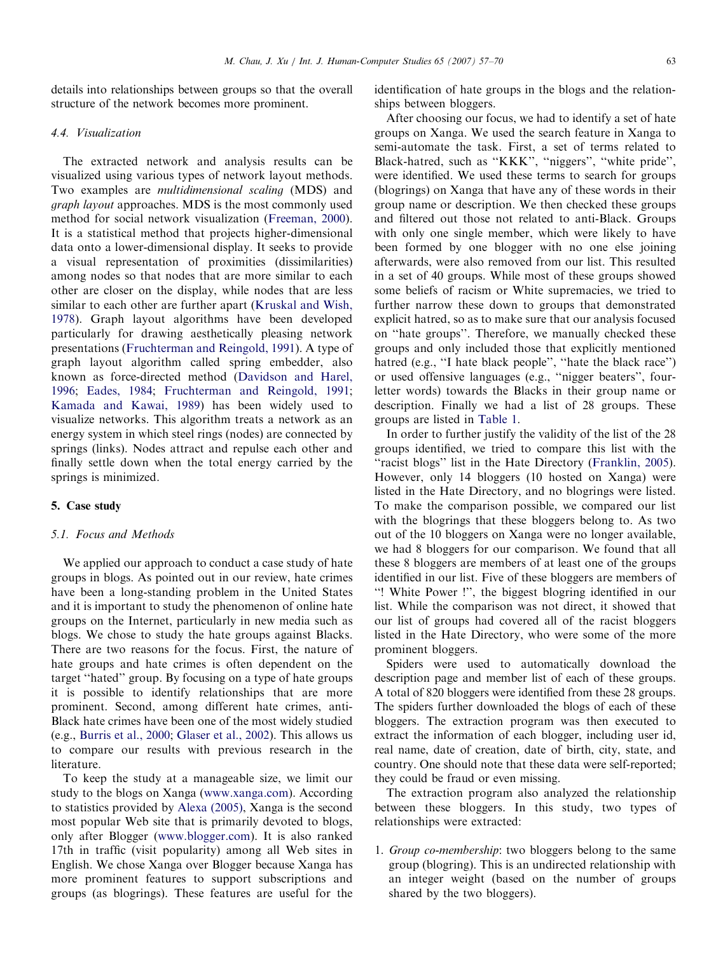details into relationships between groups so that the overall structure of the network becomes more prominent.

## 4.4. Visualization

The extracted network and analysis results can be visualized using various types of network layout methods. Two examples are multidimensional scaling (MDS) and graph layout approaches. MDS is the most commonly used method for social network visualization [\(Freeman, 2000\)](#page-12-0). It is a statistical method that projects higher-dimensional data onto a lower-dimensional display. It seeks to provide a visual representation of proximities (dissimilarities) among nodes so that nodes that are more similar to each other are closer on the display, while nodes that are less similar to each other are further apart [\(Kruskal and Wish,](#page-13-0) [1978](#page-13-0)). Graph layout algorithms have been developed particularly for drawing aesthetically pleasing network presentations ([Fruchterman and Reingold, 1991\)](#page-12-0). A type of graph layout algorithm called spring embedder, also known as force-directed method ([Davidson and Harel,](#page-12-0) [1996](#page-12-0); [Eades, 1984;](#page-12-0) [Fruchterman and Reingold, 1991;](#page-12-0) [Kamada and Kawai, 1989\)](#page-13-0) has been widely used to visualize networks. This algorithm treats a network as an energy system in which steel rings (nodes) are connected by springs (links). Nodes attract and repulse each other and finally settle down when the total energy carried by the springs is minimized.

# 5. Case study

#### 5.1. Focus and Methods

We applied our approach to conduct a case study of hate groups in blogs. As pointed out in our review, hate crimes have been a long-standing problem in the United States and it is important to study the phenomenon of online hate groups on the Internet, particularly in new media such as blogs. We chose to study the hate groups against Blacks. There are two reasons for the focus. First, the nature of hate groups and hate crimes is often dependent on the target ''hated'' group. By focusing on a type of hate groups it is possible to identify relationships that are more prominent. Second, among different hate crimes, anti-Black hate crimes have been one of the most widely studied (e.g., [Burris et al., 2000;](#page-12-0) [Glaser et al., 2002](#page-13-0)). This allows us to compare our results with previous research in the literature.

To keep the study at a manageable size, we limit our study to the blogs on Xanga ([www.xanga.com](http://www.xanga.com)). According to statistics provided by [Alexa \(2005\)](#page-12-0), Xanga is the second most popular Web site that is primarily devoted to blogs, only after Blogger [\(www.blogger.com](http://www.blogger.com)). It is also ranked 17th in traffic (visit popularity) among all Web sites in English. We chose Xanga over Blogger because Xanga has more prominent features to support subscriptions and groups (as blogrings). These features are useful for the identification of hate groups in the blogs and the relationships between bloggers.

After choosing our focus, we had to identify a set of hate groups on Xanga. We used the search feature in Xanga to semi-automate the task. First, a set of terms related to Black-hatred, such as ''KKK'', ''niggers'', ''white pride'', were identified. We used these terms to search for groups (blogrings) on Xanga that have any of these words in their group name or description. We then checked these groups and filtered out those not related to anti-Black. Groups with only one single member, which were likely to have been formed by one blogger with no one else joining afterwards, were also removed from our list. This resulted in a set of 40 groups. While most of these groups showed some beliefs of racism or White supremacies, we tried to further narrow these down to groups that demonstrated explicit hatred, so as to make sure that our analysis focused on ''hate groups''. Therefore, we manually checked these groups and only included those that explicitly mentioned hatred (e.g., ''I hate black people'', ''hate the black race'') or used offensive languages (e.g., ''nigger beaters'', fourletter words) towards the Blacks in their group name or description. Finally we had a list of 28 groups. These groups are listed in [Table 1](#page-7-0).

In order to further justify the validity of the list of the 28 groups identified, we tried to compare this list with the "racist blogs" list in the Hate Directory ([Franklin, 2005\)](#page-12-0). However, only 14 bloggers (10 hosted on Xanga) were listed in the Hate Directory, and no blogrings were listed. To make the comparison possible, we compared our list with the blogrings that these bloggers belong to. As two out of the 10 bloggers on Xanga were no longer available, we had 8 bloggers for our comparison. We found that all these 8 bloggers are members of at least one of the groups identified in our list. Five of these bloggers are members of ''! White Power !'', the biggest blogring identified in our list. While the comparison was not direct, it showed that our list of groups had covered all of the racist bloggers listed in the Hate Directory, who were some of the more prominent bloggers.

Spiders were used to automatically download the description page and member list of each of these groups. A total of 820 bloggers were identified from these 28 groups. The spiders further downloaded the blogs of each of these bloggers. The extraction program was then executed to extract the information of each blogger, including user id, real name, date of creation, date of birth, city, state, and country. One should note that these data were self-reported; they could be fraud or even missing.

The extraction program also analyzed the relationship between these bloggers. In this study, two types of relationships were extracted:

1. Group co-membership: two bloggers belong to the same group (blogring). This is an undirected relationship with an integer weight (based on the number of groups shared by the two bloggers).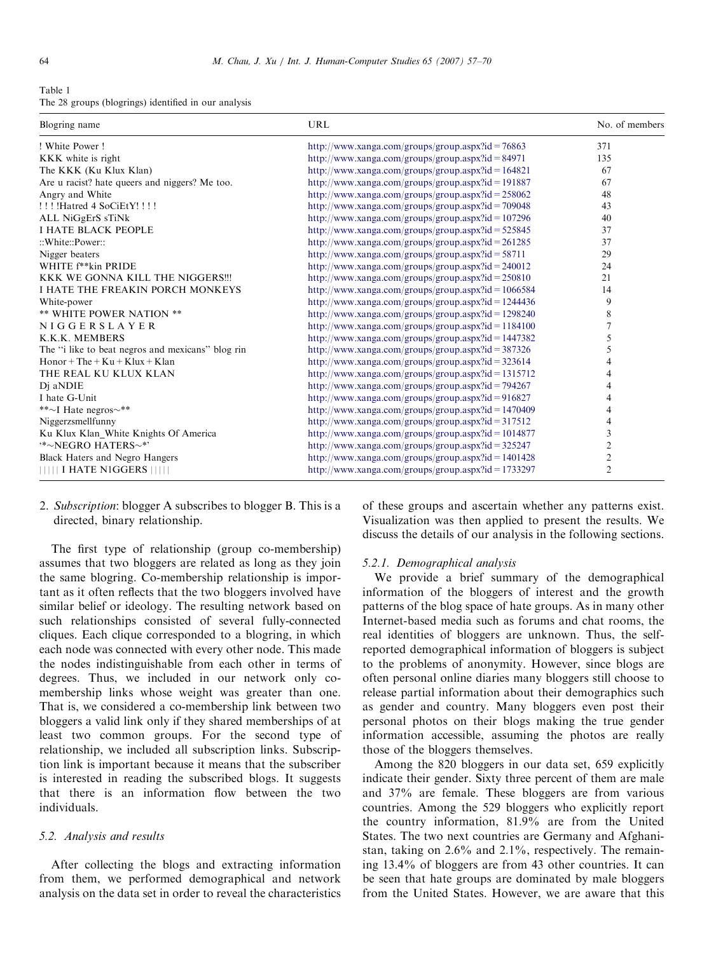<span id="page-7-0"></span>

| Table 1                                              |  |  |  |
|------------------------------------------------------|--|--|--|
| The 28 groups (blogrings) identified in our analysis |  |  |  |

| Blogring name                                     | <b>URL</b>                                            | No. of members |
|---------------------------------------------------|-------------------------------------------------------|----------------|
| ! White Power!                                    | http://www.xanga.com/groups/group.aspx?id=76863       | 371            |
| KKK white is right                                | http://www.xanga.com/groups/group.aspx?id = $84971$   | 135            |
| The KKK (Ku Klux Klan)                            | http://www.xanga.com/groups/group.aspx?id=164821      | 67             |
| Are u racist? hate queers and niggers? Me too.    | http://www.xanga.com/groups/group.aspx?id=191887      | 67             |
| Angry and White                                   | http://www.xanga.com/groups/group.aspx?id=258062      | 48             |
| !!!!Hatred 4 SoCiEtY!!!!!                         | http://www.xanga.com/groups/group.aspx?id=709048      | 43             |
| ALL NiGgErS sTiNk                                 | http://www.xanga.com/groups/group.aspx?id=107296      | 40             |
| <b>I HATE BLACK PEOPLE</b>                        | http://www.xanga.com/groups/group.aspx?id=525845      | 37             |
| ::White::Power::                                  | http://www.xanga.com/groups/group.aspx?id=261285      | 37             |
| Nigger beaters                                    | http://www.xanga.com/groups/group.aspx?id=58711       | 29             |
| WHITE f**kin PRIDE                                | http://www.xanga.com/groups/group.aspx?id=240012      | 24             |
| KKK WE GONNA KILL THE NIGGERS!!!                  | http://www.xanga.com/groups/group.aspx?id= $250810$   | 21             |
| I HATE THE FREAKIN PORCH MONKEYS                  | http://www.xanga.com/groups/group.aspx?id=1066584     | 14             |
| White-power                                       | http://www.xanga.com/groups/group.aspx?id=1244436     | 9              |
| ** WHITE POWER NATION **                          | http://www.xanga.com/groups/group.aspx?id=1298240     | 8              |
| NIGGERSLAYER                                      | http://www.xanga.com/groups/group.aspx?id=1184100     |                |
| K.K.K. MEMBERS                                    | http://www.xanga.com/groups/group.aspx?id=1447382     | 5              |
| The "i like to beat negros and mexicans" blog rin | http://www.xanga.com/groups/group.aspx?id=387326      | 5              |
| $H$ onor + The + Ku + Klux + Klan                 | http://www.xanga.com/groups/group.aspx?id=323614      | 4              |
| THE REAL KU KLUX KLAN                             | http://www.xanga.com/groups/group.aspx?id = 1315712   |                |
| Di aNDIE                                          | http://www.xanga.com/groups/group.aspx?id=794267      | 4              |
| I hate G-Unit                                     | http://www.xanga.com/groups/group.aspx?id=916827      |                |
| **~I Hate negros~**                               | http://www.xanga.com/groups/group.aspx?id=1470409     | 4              |
| Niggerzsmellfunny                                 | http://www.xanga.com/groups/group.aspx?id=317512      | 4              |
| Ku Klux Klan White Knights Of America             | http://www.xanga.com/groups/group.aspx?id = $1014877$ | 3              |
| "~NEGRO HATERS~"                                  | http://www.xanga.com/groups/group.aspx?id=325247      | $\overline{c}$ |
| <b>Black Haters and Negro Hangers</b>             | http://www.xanga.com/groups/group.aspx?id=1401428     | 2              |
| <b>IIIIII I HATE NIGGERS IIIII</b>                | http://www.xanga.com/groups/group.aspx?id = 1733297   | $\overline{c}$ |

2. Subscription: blogger A subscribes to blogger B. This is a directed, binary relationship.

The first type of relationship (group co-membership) assumes that two bloggers are related as long as they join the same blogring. Co-membership relationship is important as it often reflects that the two bloggers involved have similar belief or ideology. The resulting network based on such relationships consisted of several fully-connected cliques. Each clique corresponded to a blogring, in which each node was connected with every other node. This made the nodes indistinguishable from each other in terms of degrees. Thus, we included in our network only comembership links whose weight was greater than one. That is, we considered a co-membership link between two bloggers a valid link only if they shared memberships of at least two common groups. For the second type of relationship, we included all subscription links. Subscription link is important because it means that the subscriber is interested in reading the subscribed blogs. It suggests that there is an information flow between the two individuals.

### 5.2. Analysis and results

After collecting the blogs and extracting information from them, we performed demographical and network analysis on the data set in order to reveal the characteristics of these groups and ascertain whether any patterns exist. Visualization was then applied to present the results. We discuss the details of our analysis in the following sections.

### 5.2.1. Demographical analysis

We provide a brief summary of the demographical information of the bloggers of interest and the growth patterns of the blog space of hate groups. As in many other Internet-based media such as forums and chat rooms, the real identities of bloggers are unknown. Thus, the selfreported demographical information of bloggers is subject to the problems of anonymity. However, since blogs are often personal online diaries many bloggers still choose to release partial information about their demographics such as gender and country. Many bloggers even post their personal photos on their blogs making the true gender information accessible, assuming the photos are really those of the bloggers themselves.

Among the 820 bloggers in our data set, 659 explicitly indicate their gender. Sixty three percent of them are male and 37% are female. These bloggers are from various countries. Among the 529 bloggers who explicitly report the country information, 81.9% are from the United States. The two next countries are Germany and Afghanistan, taking on 2.6% and 2.1%, respectively. The remaining 13.4% of bloggers are from 43 other countries. It can be seen that hate groups are dominated by male bloggers from the United States. However, we are aware that this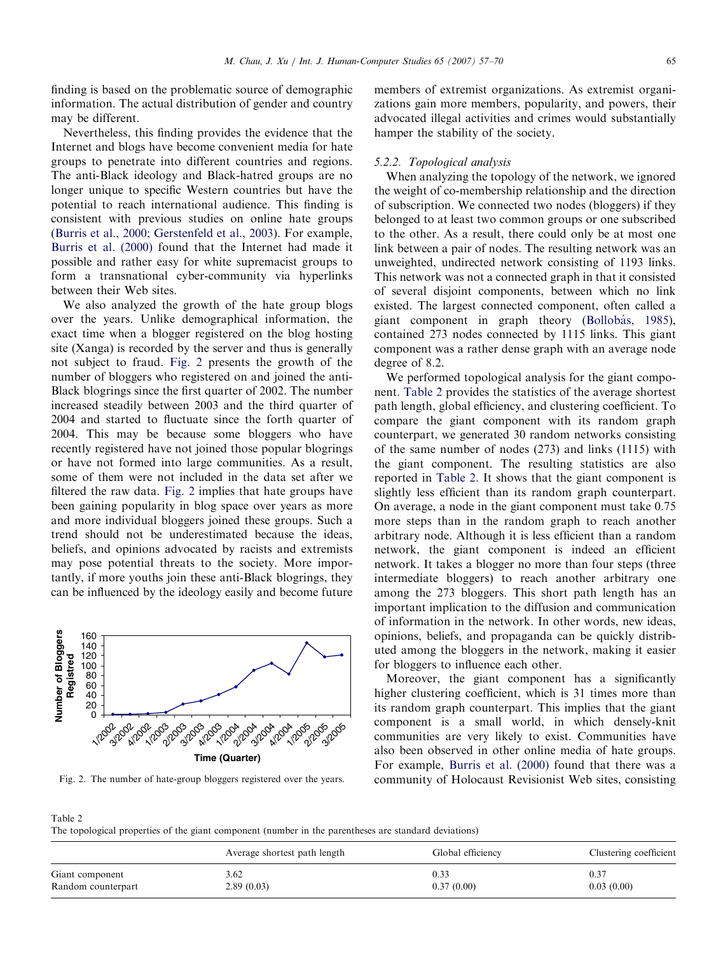finding is based on the problematic source of demographic information. The actual distribution of gender and country may be different.

Nevertheless, this finding provides the evidence that the Internet and blogs have become convenient media for hate groups to penetrate into different countries and regions. The anti-Black ideology and Black-hatred groups are no longer unique to specific Western countries but have the potential to reach international audience. This finding is consistent with previous studies on online hate groups ([Burris et al., 2000](#page-12-0); [Gerstenfeld et al., 2003\)](#page-13-0). For example, [Burris et al. \(2000\)](#page-12-0) found that the Internet had made it possible and rather easy for white supremacist groups to form a transnational cyber-community via hyperlinks between their Web sites.

We also analyzed the growth of the hate group blogs over the years. Unlike demographical information, the exact time when a blogger registered on the blog hosting site (Xanga) is recorded by the server and thus is generally not subject to fraud. Fig. 2 presents the growth of the number of bloggers who registered on and joined the anti-Black blogrings since the first quarter of 2002. The number increased steadily between 2003 and the third quarter of 2004 and started to fluctuate since the forth quarter of 2004. This may be because some bloggers who have recently registered have not joined those popular blogrings or have not formed into large communities. As a result, some of them were not included in the data set after we filtered the raw data. Fig. 2 implies that hate groups have been gaining popularity in blog space over years as more and more individual bloggers joined these groups. Such a trend should not be underestimated because the ideas, beliefs, and opinions advocated by racists and extremists may pose potential threats to the society. More importantly, if more youths join these anti-Black blogrings, they can be influenced by the ideology easily and become future



Fig. 2. The number of hate-group bloggers registered over the years.

members of extremist organizations. As extremist organizations gain more members, popularity, and powers, their advocated illegal activities and crimes would substantially hamper the stability of the society.

## 5.2.2. Topological analysis

When analyzing the topology of the network, we ignored the weight of co-membership relationship and the direction of subscription. We connected two nodes (bloggers) if they belonged to at least two common groups or one subscribed to the other. As a result, there could only be at most one link between a pair of nodes. The resulting network was an unweighted, undirected network consisting of 1193 links. This network was not a connected graph in that it consisted of several disjoint components, between which no link existed. The largest connected component, often called a giant component in graph theory (Bollobás, 1985), contained 273 nodes connected by 1115 links. This giant component was a rather dense graph with an average node degree of 8.2.

We performed topological analysis for the giant component. Table 2 provides the statistics of the average shortest path length, global efficiency, and clustering coefficient. To compare the giant component with its random graph counterpart, we generated 30 random networks consisting of the same number of nodes (273) and links (1115) with the giant component. The resulting statistics are also reported in Table 2. It shows that the giant component is slightly less efficient than its random graph counterpart. On average, a node in the giant component must take 0.75 more steps than in the random graph to reach another arbitrary node. Although it is less efficient than a random network, the giant component is indeed an efficient network. It takes a blogger no more than four steps (three intermediate bloggers) to reach another arbitrary one among the 273 bloggers. This short path length has an important implication to the diffusion and communication of information in the network. In other words, new ideas, opinions, beliefs, and propaganda can be quickly distributed among the bloggers in the network, making it easier for bloggers to influence each other.

Moreover, the giant component has a significantly higher clustering coefficient, which is 31 times more than its random graph counterpart. This implies that the giant component is a small world, in which densely-knit communities are very likely to exist. Communities have also been observed in other online media of hate groups. For example, [Burris et al. \(2000\)](#page-12-0) found that there was a community of Holocaust Revisionist Web sites, consisting

Table 2 The topological properties of the giant component (number in the parentheses are standard deviations)

|                    | Average shortest path length | Global efficiency | Clustering coefficient |
|--------------------|------------------------------|-------------------|------------------------|
| Giant component    | 3.62                         | 0.33              | 0.37                   |
| Random counterpart | 2.89(0.03)                   | 0.37(0.00)        | 0.03(0.00)             |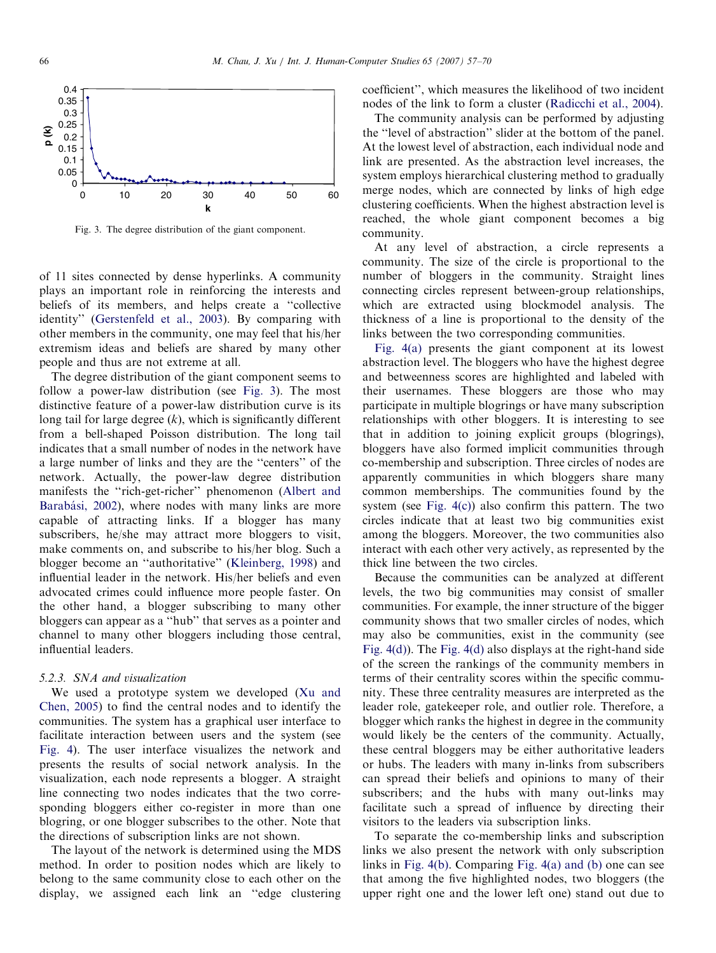

Fig. 3. The degree distribution of the giant component.

of 11 sites connected by dense hyperlinks. A community plays an important role in reinforcing the interests and beliefs of its members, and helps create a ''collective identity'' [\(Gerstenfeld et al., 2003\)](#page-13-0). By comparing with other members in the community, one may feel that his/her extremism ideas and beliefs are shared by many other people and thus are not extreme at all.

The degree distribution of the giant component seems to follow a power-law distribution (see Fig. 3). The most distinctive feature of a power-law distribution curve is its long tail for large degree  $(k)$ , which is significantly different from a bell-shaped Poisson distribution. The long tail indicates that a small number of nodes in the network have a large number of links and they are the ''centers'' of the network. Actually, the power-law degree distribution manifests the ''rich-get-richer'' phenomenon [\(Albert and](#page-12-0) Barabási, 2002), where nodes with many links are more capable of attracting links. If a blogger has many subscribers, he/she may attract more bloggers to visit, make comments on, and subscribe to his/her blog. Such a blogger become an ''authoritative'' ([Kleinberg, 1998\)](#page-13-0) and influential leader in the network. His/her beliefs and even advocated crimes could influence more people faster. On the other hand, a blogger subscribing to many other bloggers can appear as a ''hub'' that serves as a pointer and channel to many other bloggers including those central, influential leaders.

## 5.2.3. SNA and visualization

We used a prototype system we developed ([Xu and](#page-13-0) [Chen, 2005\)](#page-13-0) to find the central nodes and to identify the communities. The system has a graphical user interface to facilitate interaction between users and the system (see [Fig. 4\)](#page-10-0). The user interface visualizes the network and presents the results of social network analysis. In the visualization, each node represents a blogger. A straight line connecting two nodes indicates that the two corresponding bloggers either co-register in more than one blogring, or one blogger subscribes to the other. Note that the directions of subscription links are not shown.

The layout of the network is determined using the MDS method. In order to position nodes which are likely to belong to the same community close to each other on the display, we assigned each link an ''edge clustering coefficient'', which measures the likelihood of two incident nodes of the link to form a cluster ([Radicchi et al., 2004](#page-13-0)).

The community analysis can be performed by adjusting the ''level of abstraction'' slider at the bottom of the panel. At the lowest level of abstraction, each individual node and link are presented. As the abstraction level increases, the system employs hierarchical clustering method to gradually merge nodes, which are connected by links of high edge clustering coefficients. When the highest abstraction level is reached, the whole giant component becomes a big community.

At any level of abstraction, a circle represents a community. The size of the circle is proportional to the number of bloggers in the community. Straight lines connecting circles represent between-group relationships, which are extracted using blockmodel analysis. The thickness of a line is proportional to the density of the links between the two corresponding communities.

[Fig. 4\(a\)](#page-10-0) presents the giant component at its lowest abstraction level. The bloggers who have the highest degree and betweenness scores are highlighted and labeled with their usernames. These bloggers are those who may participate in multiple blogrings or have many subscription relationships with other bloggers. It is interesting to see that in addition to joining explicit groups (blogrings), bloggers have also formed implicit communities through co-membership and subscription. Three circles of nodes are apparently communities in which bloggers share many common memberships. The communities found by the system (see Fig.  $4(c)$ ) also confirm this pattern. The two circles indicate that at least two big communities exist among the bloggers. Moreover, the two communities also interact with each other very actively, as represented by the thick line between the two circles.

Because the communities can be analyzed at different levels, the two big communities may consist of smaller communities. For example, the inner structure of the bigger community shows that two smaller circles of nodes, which may also be communities, exist in the community (see [Fig. 4\(d\)](#page-10-0)). The [Fig. 4\(d\)](#page-10-0) also displays at the right-hand side of the screen the rankings of the community members in terms of their centrality scores within the specific community. These three centrality measures are interpreted as the leader role, gatekeeper role, and outlier role. Therefore, a blogger which ranks the highest in degree in the community would likely be the centers of the community. Actually, these central bloggers may be either authoritative leaders or hubs. The leaders with many in-links from subscribers can spread their beliefs and opinions to many of their subscribers; and the hubs with many out-links may facilitate such a spread of influence by directing their visitors to the leaders via subscription links.

To separate the co-membership links and subscription links we also present the network with only subscription links in [Fig. 4\(b\)](#page-10-0). Comparing [Fig. 4\(a\) and \(b\)](#page-10-0) one can see that among the five highlighted nodes, two bloggers (the upper right one and the lower left one) stand out due to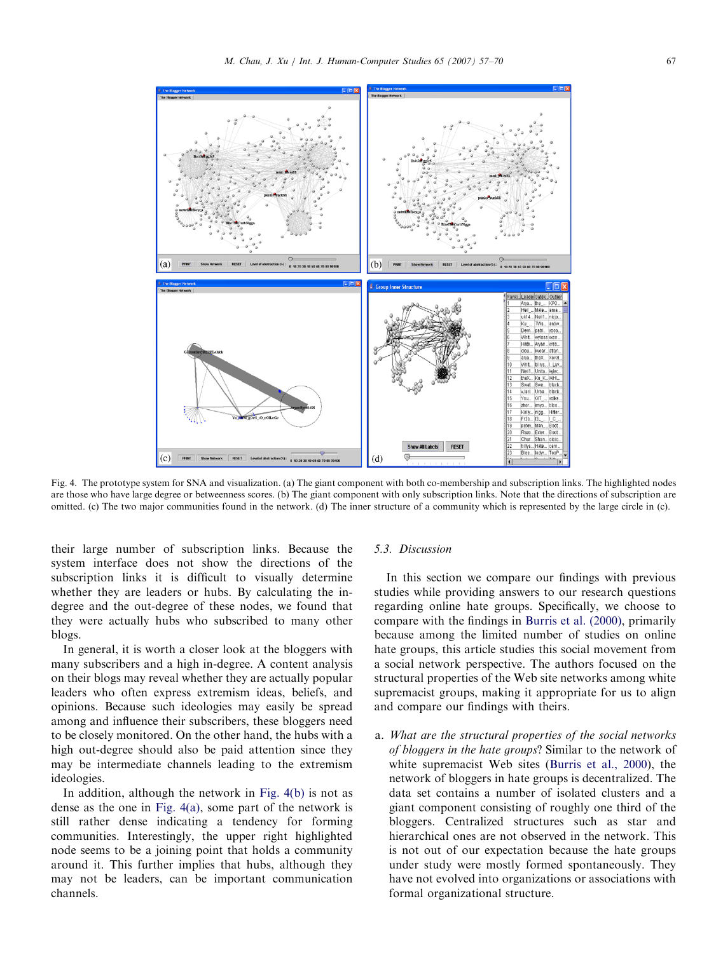<span id="page-10-0"></span>

Fig. 4. The prototype system for SNA and visualization. (a) The giant component with both co-membership and subscription links. The highlighted nodes are those who have large degree or betweenness scores. (b) The giant component with only subscription links. Note that the directions of subscription are omitted. (c) The two major communities found in the network. (d) The inner structure of a community which is represented by the large circle in (c).

their large number of subscription links. Because the system interface does not show the directions of the subscription links it is difficult to visually determine whether they are leaders or hubs. By calculating the indegree and the out-degree of these nodes, we found that they were actually hubs who subscribed to many other blogs.

In general, it is worth a closer look at the bloggers with many subscribers and a high in-degree. A content analysis on their blogs may reveal whether they are actually popular leaders who often express extremism ideas, beliefs, and opinions. Because such ideologies may easily be spread among and influence their subscribers, these bloggers need to be closely monitored. On the other hand, the hubs with a high out-degree should also be paid attention since they may be intermediate channels leading to the extremism ideologies.

In addition, although the network in Fig. 4(b) is not as dense as the one in Fig. 4(a), some part of the network is still rather dense indicating a tendency for forming communities. Interestingly, the upper right highlighted node seems to be a joining point that holds a community around it. This further implies that hubs, although they may not be leaders, can be important communication channels.

#### 5.3. Discussion

In this section we compare our findings with previous studies while providing answers to our research questions regarding online hate groups. Specifically, we choose to compare with the findings in [Burris et al. \(2000\)](#page-12-0), primarily because among the limited number of studies on online hate groups, this article studies this social movement from a social network perspective. The authors focused on the structural properties of the Web site networks among white supremacist groups, making it appropriate for us to align and compare our findings with theirs.

a. What are the structural properties of the social networks of bloggers in the hate groups? Similar to the network of white supremacist Web sites [\(Burris et al., 2000\)](#page-12-0), the network of bloggers in hate groups is decentralized. The data set contains a number of isolated clusters and a giant component consisting of roughly one third of the bloggers. Centralized structures such as star and hierarchical ones are not observed in the network. This is not out of our expectation because the hate groups under study were mostly formed spontaneously. They have not evolved into organizations or associations with formal organizational structure.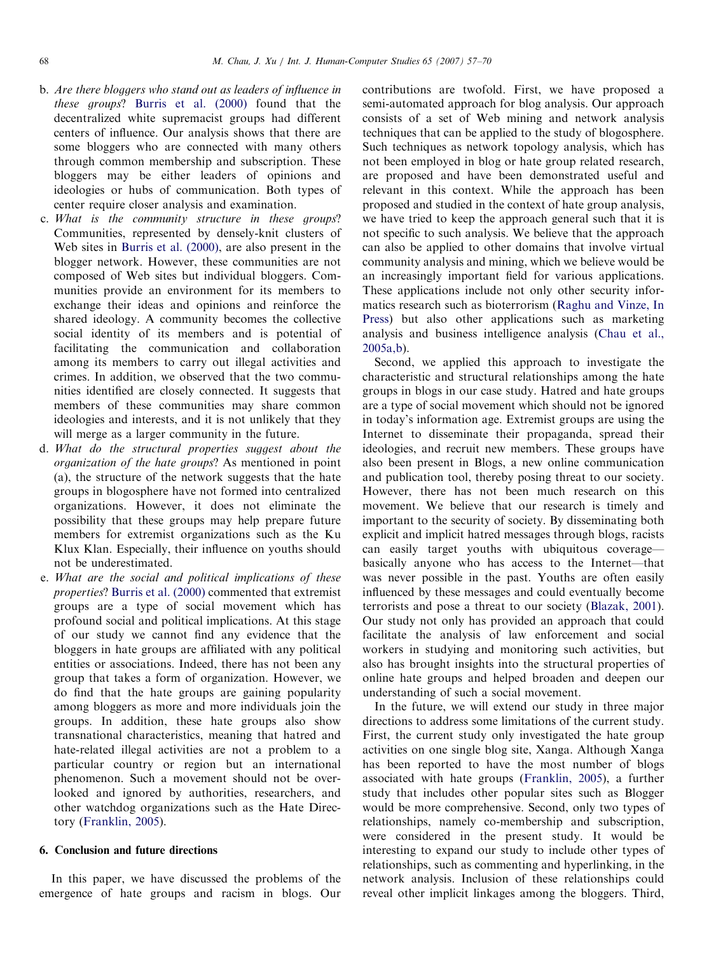- b. Are there bloggers who stand out as leaders of influence in these groups? [Burris et al. \(2000\)](#page-12-0) found that the decentralized white supremacist groups had different centers of influence. Our analysis shows that there are some bloggers who are connected with many others through common membership and subscription. These bloggers may be either leaders of opinions and ideologies or hubs of communication. Both types of center require closer analysis and examination.
- c. What is the community structure in these groups? Communities, represented by densely-knit clusters of Web sites in [Burris et al. \(2000\),](#page-12-0) are also present in the blogger network. However, these communities are not composed of Web sites but individual bloggers. Communities provide an environment for its members to exchange their ideas and opinions and reinforce the shared ideology. A community becomes the collective social identity of its members and is potential of facilitating the communication and collaboration among its members to carry out illegal activities and crimes. In addition, we observed that the two communities identified are closely connected. It suggests that members of these communities may share common ideologies and interests, and it is not unlikely that they will merge as a larger community in the future.
- d. What do the structural properties suggest about the organization of the hate groups? As mentioned in point (a), the structure of the network suggests that the hate groups in blogosphere have not formed into centralized organizations. However, it does not eliminate the possibility that these groups may help prepare future members for extremist organizations such as the Ku Klux Klan. Especially, their influence on youths should not be underestimated.
- e. What are the social and political implications of these properties? [Burris et al. \(2000\)](#page-12-0) commented that extremist groups are a type of social movement which has profound social and political implications. At this stage of our study we cannot find any evidence that the bloggers in hate groups are affiliated with any political entities or associations. Indeed, there has not been any group that takes a form of organization. However, we do find that the hate groups are gaining popularity among bloggers as more and more individuals join the groups. In addition, these hate groups also show transnational characteristics, meaning that hatred and hate-related illegal activities are not a problem to a particular country or region but an international phenomenon. Such a movement should not be overlooked and ignored by authorities, researchers, and other watchdog organizations such as the Hate Directory [\(Franklin, 2005\)](#page-12-0).

# 6. Conclusion and future directions

In this paper, we have discussed the problems of the emergence of hate groups and racism in blogs. Our contributions are twofold. First, we have proposed a semi-automated approach for blog analysis. Our approach consists of a set of Web mining and network analysis techniques that can be applied to the study of blogosphere. Such techniques as network topology analysis, which has not been employed in blog or hate group related research, are proposed and have been demonstrated useful and relevant in this context. While the approach has been proposed and studied in the context of hate group analysis, we have tried to keep the approach general such that it is not specific to such analysis. We believe that the approach can also be applied to other domains that involve virtual community analysis and mining, which we believe would be an increasingly important field for various applications. These applications include not only other security informatics research such as bioterrorism [\(Raghu and Vinze, In](#page-13-0) [Press\)](#page-13-0) but also other applications such as marketing analysis and business intelligence analysis ([Chau et al.,](#page-12-0) [2005a,b\)](#page-12-0).

Second, we applied this approach to investigate the characteristic and structural relationships among the hate groups in blogs in our case study. Hatred and hate groups are a type of social movement which should not be ignored in today's information age. Extremist groups are using the Internet to disseminate their propaganda, spread their ideologies, and recruit new members. These groups have also been present in Blogs, a new online communication and publication tool, thereby posing threat to our society. However, there has not been much research on this movement. We believe that our research is timely and important to the security of society. By disseminating both explicit and implicit hatred messages through blogs, racists can easily target youths with ubiquitous coverage basically anyone who has access to the Internet—that was never possible in the past. Youths are often easily influenced by these messages and could eventually become terrorists and pose a threat to our society [\(Blazak, 2001\)](#page-12-0). Our study not only has provided an approach that could facilitate the analysis of law enforcement and social workers in studying and monitoring such activities, but also has brought insights into the structural properties of online hate groups and helped broaden and deepen our understanding of such a social movement.

In the future, we will extend our study in three major directions to address some limitations of the current study. First, the current study only investigated the hate group activities on one single blog site, Xanga. Although Xanga has been reported to have the most number of blogs associated with hate groups ([Franklin, 2005](#page-12-0)), a further study that includes other popular sites such as Blogger would be more comprehensive. Second, only two types of relationships, namely co-membership and subscription, were considered in the present study. It would be interesting to expand our study to include other types of relationships, such as commenting and hyperlinking, in the network analysis. Inclusion of these relationships could reveal other implicit linkages among the bloggers. Third,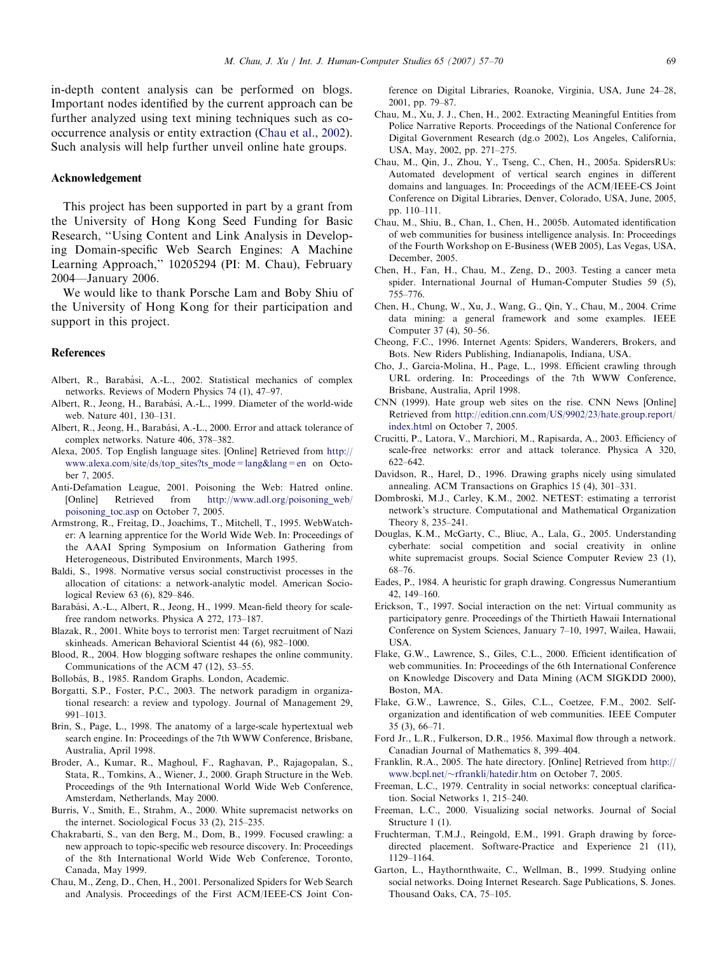<span id="page-12-0"></span>in-depth content analysis can be performed on blogs. Important nodes identified by the current approach can be further analyzed using text mining techniques such as cooccurrence analysis or entity extraction (Chau et al., 2002). Such analysis will help further unveil online hate groups.

#### Acknowledgement

This project has been supported in part by a grant from the University of Hong Kong Seed Funding for Basic Research, ''Using Content and Link Analysis in Developing Domain-specific Web Search Engines: A Machine Learning Approach,'' 10205294 (PI: M. Chau), February 2004—January 2006.

We would like to thank Porsche Lam and Boby Shiu of the University of Hong Kong for their participation and support in this project.

#### References

- Albert, R., Barabási, A.-L., 2002. Statistical mechanics of complex networks. Reviews of Modern Physics 74 (1), 47–97.
- Albert, R., Jeong, H., Barabási, A.-L., 1999. Diameter of the world-wide web. Nature 401, 130–131.
- Albert, R., Jeong, H., Barabási, A.-L., 2000. Error and attack tolerance of complex networks. Nature 406, 378–382.
- Alexa, 2005. Top English language sites. [Online] Retrieved from [http://](http://www.alexa.com/site/ds/top_sites?ts_mode=lang&lang=en) [www.alexa.com/site/ds/top\\_sites?ts\\_mode=lang](http://www.alexa.com/site/ds/top_sites?ts_mode=lang&lang=en)&[lang=en](http://www.alexa.com/site/ds/top_sites?ts_mode=lang&lang=en)\_on\_October 7, 2005.
- Anti-Defamation League, 2001. Poisoning the Web: Hatred online. [Online] Retrieved from [http://www.adl.org/poisoning\\_web/](http://www.adl.org/poisoning_web/poisoning_toc.asp) [poisoning\\_toc.asp](http://www.adl.org/poisoning_web/poisoning_toc.asp) on October 7, 2005.
- Armstrong, R., Freitag, D., Joachims, T., Mitchell, T., 1995. WebWatcher: A learning apprentice for the World Wide Web. In: Proceedings of the AAAI Spring Symposium on Information Gathering from Heterogeneous, Distributed Environments, March 1995.
- Baldi, S., 1998. Normative versus social constructivist processes in the allocation of citations: a network-analytic model. American Sociological Review 63 (6), 829–846.
- Barabási, A.-L., Albert, R., Jeong, H., 1999. Mean-field theory for scalefree random networks. Physica A 272, 173–187.
- Blazak, R., 2001. White boys to terrorist men: Target recruitment of Nazi skinheads. American Behavioral Scientist 44 (6), 982–1000.
- Blood, R., 2004. How blogging software reshapes the online community. Communications of the ACM 47 (12), 53–55.
- Bollobás, B., 1985. Random Graphs. London, Academic.
- Borgatti, S.P., Foster, P.C., 2003. The network paradigm in organizational research: a review and typology. Journal of Management 29, 991–1013.
- Brin, S., Page, L., 1998. The anatomy of a large-scale hypertextual web search engine. In: Proceedings of the 7th WWW Conference, Brisbane, Australia, April 1998.
- Broder, A., Kumar, R., Maghoul, F., Raghavan, P., Rajagopalan, S., Stata, R., Tomkins, A., Wiener, J., 2000. Graph Structure in the Web. Proceedings of the 9th International World Wide Web Conference, Amsterdam, Netherlands, May 2000.
- Burris, V., Smith, E., Strahm, A., 2000. White supremacist networks on the internet. Sociological Focus 33 (2), 215–235.
- Chakrabarti, S., van den Berg, M., Dom, B., 1999. Focused crawling: a new approach to topic-specific web resource discovery. In: Proceedings of the 8th International World Wide Web Conference, Toronto, Canada, May 1999.
- Chau, M., Zeng, D., Chen, H., 2001. Personalized Spiders for Web Search and Analysis. Proceedings of the First ACM/IEEE-CS Joint Con-

ference on Digital Libraries, Roanoke, Virginia, USA, June 24–28, 2001, pp. 79–87.

- Chau, M., Xu, J. J., Chen, H., 2002. Extracting Meaningful Entities from Police Narrative Reports. Proceedings of the National Conference for Digital Government Research (dg.o 2002), Los Angeles, California, USA, May, 2002, pp. 271–275.
- Chau, M., Qin, J., Zhou, Y., Tseng, C., Chen, H., 2005a. SpidersRUs: Automated development of vertical search engines in different domains and languages. In: Proceedings of the ACM/IEEE-CS Joint Conference on Digital Libraries, Denver, Colorado, USA, June, 2005, pp. 110–111.
- Chau, M., Shiu, B., Chan, I., Chen, H., 2005b. Automated identification of web communities for business intelligence analysis. In: Proceedings of the Fourth Workshop on E-Business (WEB 2005), Las Vegas, USA, December, 2005.
- Chen, H., Fan, H., Chau, M., Zeng, D., 2003. Testing a cancer meta spider. International Journal of Human-Computer Studies 59 (5), 755–776.
- Chen, H., Chung, W., Xu, J., Wang, G., Qin, Y., Chau, M., 2004. Crime data mining: a general framework and some examples. IEEE Computer 37 (4), 50–56.
- Cheong, F.C., 1996. Internet Agents: Spiders, Wanderers, Brokers, and Bots. New Riders Publishing, Indianapolis, Indiana, USA.
- Cho, J., Garcia-Molina, H., Page, L., 1998. Efficient crawling through URL ordering. In: Proceedings of the 7th WWW Conference, Brisbane, Australia, April 1998.
- CNN (1999). Hate group web sites on the rise. CNN News [Online] Retrieved from [http://edition.cnn.com/US/9902/23/hate.group.report/](http://edition.cnn.com/US/9902/23/hate.group.report/index.html) [index.html](http://edition.cnn.com/US/9902/23/hate.group.report/index.html) on October 7, 2005.
- Crucitti, P., Latora, V., Marchiori, M., Rapisarda, A., 2003. Efficiency of scale-free networks: error and attack tolerance. Physica A 320, 622–642.
- Davidson, R., Harel, D., 1996. Drawing graphs nicely using simulated annealing. ACM Transactions on Graphics 15 (4), 301–331.
- Dombroski, M.J., Carley, K.M., 2002. NETEST: estimating a terrorist network's structure. Computational and Mathematical Organization Theory 8, 235–241.
- Douglas, K.M., McGarty, C., Bliuc, A., Lala, G., 2005. Understanding cyberhate: social competition and social creativity in online white supremacist groups. Social Science Computer Review 23 (1), 68–76.
- Eades, P., 1984. A heuristic for graph drawing. Congressus Numerantium 42, 149–160.
- Erickson, T., 1997. Social interaction on the net: Virtual community as participatory genre. Proceedings of the Thirtieth Hawaii International Conference on System Sciences, January 7–10, 1997, Wailea, Hawaii, USA.
- Flake, G.W., Lawrence, S., Giles, C.L., 2000. Efficient identification of web communities. In: Proceedings of the 6th International Conference on Knowledge Discovery and Data Mining (ACM SIGKDD 2000), Boston, MA.
- Flake, G.W., Lawrence, S., Giles, C.L., Coetzee, F.M., 2002. Selforganization and identification of web communities. IEEE Computer 35 (3), 66–71.
- Ford Jr., L.R., Fulkerson, D.R., 1956. Maximal flow through a network. Canadian Journal of Mathematics 8, 399–404.
- Franklin, R.A., 2005. The hate directory. [Online] Retrieved from [http://](http://www.bcpl.net/~rfrankli/hatedir.htm) [www.bcpl.net/](http://www.bcpl.net/~rfrankli/hatedir.htm)~[rfrankli/hatedir.htm](http://www.bcpl.net/~rfrankli/hatedir.htm) on October 7, 2005.
- Freeman, L.C., 1979. Centrality in social networks: conceptual clarification. Social Networks 1, 215–240.
- Freeman, L.C., 2000. Visualizing social networks. Journal of Social Structure 1 (1).
- Fruchterman, T.M.J., Reingold, E.M., 1991. Graph drawing by forcedirected placement. Software-Practice and Experience 21 (11), 1129–1164.
- Garton, L., Haythornthwaite, C., Wellman, B., 1999. Studying online social networks. Doing Internet Research. Sage Publications, S. Jones. Thousand Oaks, CA, 75–105.